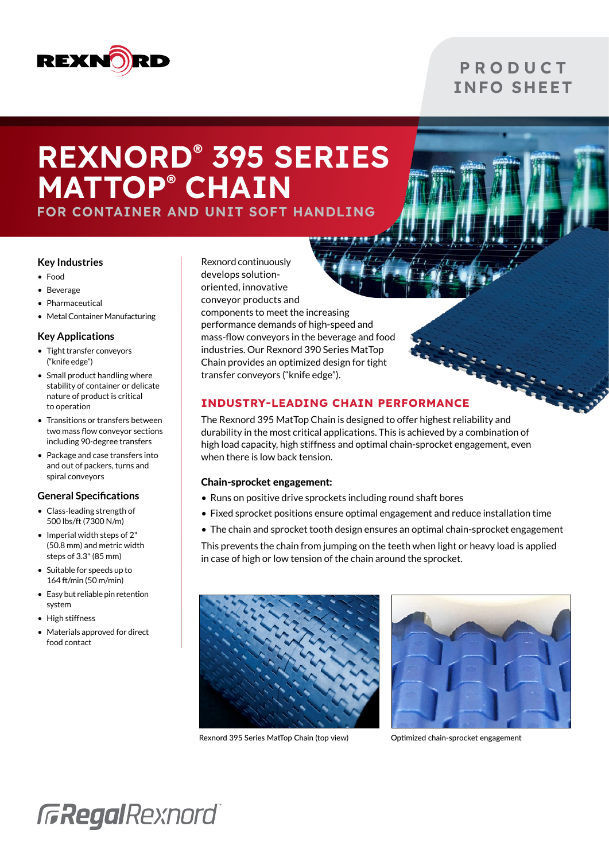

## **P R O D U C T** INFO SHEET

# REXNORD® 395 SERIES MATTOP® CHAIN

FOR CONTAINER AND UNIT SOFT HANDLING

### **Key Industries**

- Food
- Beverage
- Pharmaceutical
- Metal Container Manufacturing

### **Key Applications**

- Tight transfer conveyors ("knife edge")
- Small product handling where stability of container or delicate nature of product is critical to operation
- Transitions or transfers between two mass flow conveyor sections including 90-degree transfers
- Package and case transfers into and out of packers, turns and spiral conveyors

### **General Specifications**

- Class-leading strength of 500 lbs/ft (7300 N/m)
- Imperial width steps of 2" (50.8 mm) and metric width steps of 3.3" (85 mm)
- Suitable for speeds up to 164 ft/min (50 m/min)
- Easy but reliable pin retention system
- High stiffness
- Materials approved for direct food contact

Rexnord continuously develops solutionoriented, innovative conveyor products and components to meet the increasing performance demands of high-speed and mass-flow conveyors in the beverage and food industries. Our Rexnord 390 Series MatTop Chain provides an optimized design for tight transfer conveyors ("knife edge").

### INDUSTRY-LEADING CHAIN PERFORMANCE

The Rexnord 395 MatTop Chain is designed to offer highest reliability and durability in the most critical applications. This is achieved by a combination of high load capacity, high stiffness and optimal chain-sprocket engagement, even when there is low back tension.

### Chain-sprocket engagement:

- Runs on positive drive sprockets including round shaft bores
- Fixed sprocket positions ensure optimal engagement and reduce installation time
- The chain and sprocket tooth design ensures an optimal chain-sprocket engagement

This prevents the chain from jumping on the teeth when light or heavy load is applied in case of high or low tension of the chain around the sprocket.



Rexnord 395 Series MatTop Chain (top view) Optimized chain-sprocket engagement



# **GRegalRexnord**